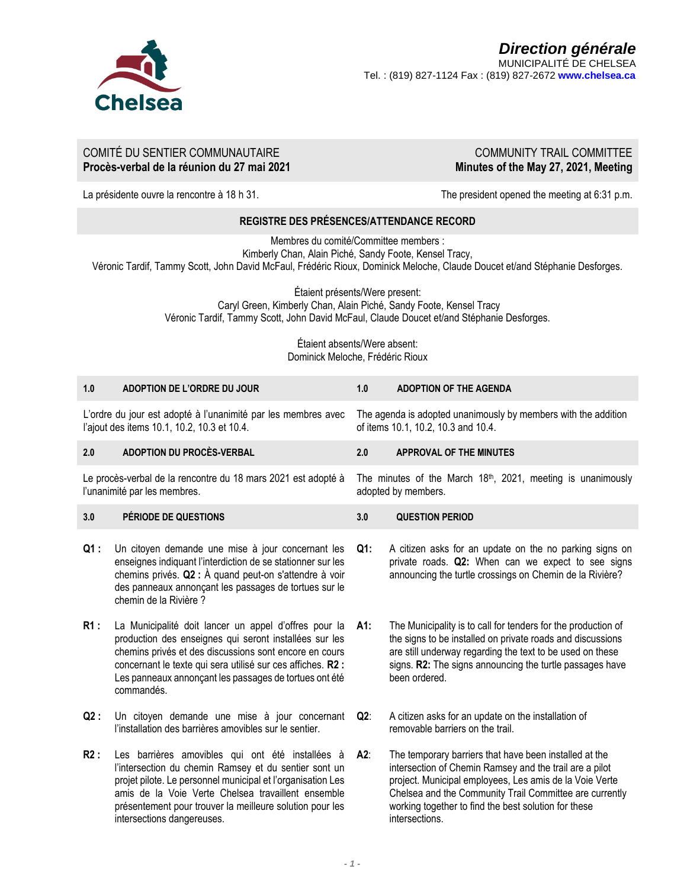

# COMITÉ DU SENTIER COMMUNAUTAIRE **Procès-verbal de la réunion du 27 mai 2021**

COMMUNITY TRAIL COMMITTEE **Minutes of the May 27, 2021, Meeting**

La présidente ouvre la rencontre à 18 h 31.  $\blacksquare$  The president opened the meeting at 6:31 p.m.

# **REGISTRE DES PRÉSENCES/ATTENDANCE RECORD**

Membres du comité/Committee members :

Kimberly Chan, Alain Piché, Sandy Foote, Kensel Tracy,

Véronic Tardif, Tammy Scott, John David McFaul, Frédéric Rioux, Dominick Meloche, Claude Doucet et/and Stéphanie Desforges.

Étaient présents/Were present:

Caryl Green, Kimberly Chan, Alain Piché, Sandy Foote, Kensel Tracy Véronic Tardif, Tammy Scott, John David McFaul, Claude Doucet et/and Stéphanie Desforges.

> Étaient absents/Were absent: Dominick Meloche, Frédéric Rioux

| 1.0                                                                                                          | ADOPTION DE L'ORDRE DU JOUR                                                                                                                                                                                                                                                                                              | 1.0                                                                                                   | <b>ADOPTION OF THE AGENDA</b>                                                                                                                                                                                                                                                                                     |  |
|--------------------------------------------------------------------------------------------------------------|--------------------------------------------------------------------------------------------------------------------------------------------------------------------------------------------------------------------------------------------------------------------------------------------------------------------------|-------------------------------------------------------------------------------------------------------|-------------------------------------------------------------------------------------------------------------------------------------------------------------------------------------------------------------------------------------------------------------------------------------------------------------------|--|
| L'ordre du jour est adopté à l'unanimité par les membres avec<br>l'ajout des items 10.1, 10.2, 10.3 et 10.4. |                                                                                                                                                                                                                                                                                                                          | The agenda is adopted unanimously by members with the addition<br>of items 10.1, 10.2, 10.3 and 10.4. |                                                                                                                                                                                                                                                                                                                   |  |
| 2.0                                                                                                          | <b>ADOPTION DU PROCÈS-VERBAL</b>                                                                                                                                                                                                                                                                                         | 2.0                                                                                                   | <b>APPROVAL OF THE MINUTES</b>                                                                                                                                                                                                                                                                                    |  |
| Le procès-verbal de la rencontre du 18 mars 2021 est adopté à<br>l'unanimité par les membres.                |                                                                                                                                                                                                                                                                                                                          | The minutes of the March 18th, 2021, meeting is unanimously<br>adopted by members.                    |                                                                                                                                                                                                                                                                                                                   |  |
| 3.0                                                                                                          | PÉRIODE DE QUESTIONS                                                                                                                                                                                                                                                                                                     | 3.0                                                                                                   | <b>QUESTION PERIOD</b>                                                                                                                                                                                                                                                                                            |  |
| $Q1$ :                                                                                                       | Un citoyen demande une mise à jour concernant les<br>enseignes indiquant l'interdiction de se stationner sur les<br>chemins privés. $Q2:$ À quand peut-on s'attendre à voir<br>des panneaux annonçant les passages de tortues sur le<br>chemin de la Rivière ?                                                           | Q1:                                                                                                   | A citizen asks for an update on the no parking signs on<br>private roads. Q2: When can we expect to see signs<br>announcing the turtle crossings on Chemin de la Rivière?                                                                                                                                         |  |
| R1:                                                                                                          | La Municipalité doit lancer un appel d'offres pour la<br>production des enseignes qui seront installées sur les<br>chemins privés et des discussions sont encore en cours<br>concernant le texte qui sera utilisé sur ces affiches. R2 :<br>Les panneaux annonçant les passages de tortues ont été<br>commandés.         | A1:                                                                                                   | The Municipality is to call for tenders for the production of<br>the signs to be installed on private roads and discussions<br>are still underway regarding the text to be used on these<br>signs. R2: The signs announcing the turtle passages have<br>been ordered.                                             |  |
| Q2:                                                                                                          | Un citoyen demande une mise à jour concernant<br>l'installation des barrières amovibles sur le sentier.                                                                                                                                                                                                                  | Q2:                                                                                                   | A citizen asks for an update on the installation of<br>removable barriers on the trail.                                                                                                                                                                                                                           |  |
| R2:                                                                                                          | Les barrières amovibles qui ont été installées à<br>l'intersection du chemin Ramsey et du sentier sont un<br>projet pilote. Le personnel municipal et l'organisation Les<br>amis de la Voie Verte Chelsea travaillent ensemble<br>présentement pour trouver la meilleure solution pour les<br>intersections dangereuses. | A2:                                                                                                   | The temporary barriers that have been installed at the<br>intersection of Chemin Ramsey and the trail are a pilot<br>project. Municipal employees, Les amis de la Voie Verte<br>Chelsea and the Community Trail Committee are currently<br>working together to find the best solution for these<br>intersections. |  |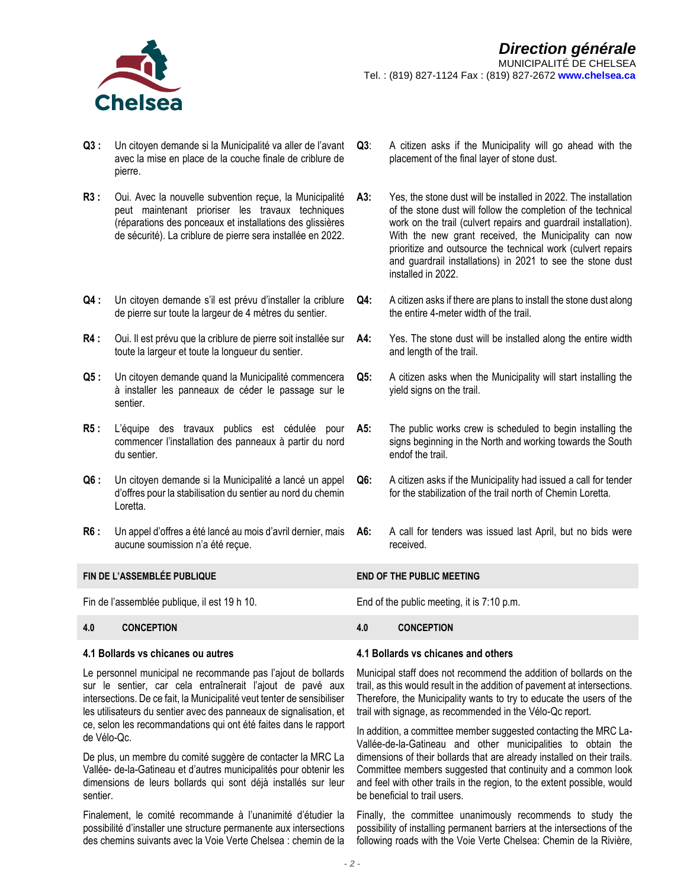

- **Q3 :** Un citoyen demande si la Municipalité va aller de l'avant avec la mise en place de la couche finale de criblure de pierre.
- **R3 :** Oui. Avec la nouvelle subvention reçue, la Municipalité peut maintenant prioriser les travaux techniques (réparations des ponceaux et installations des glissières de sécurité). La criblure de pierre sera installée en 2022.
- **Q4 :** Un citoyen demande s'il est prévu d'installer la criblure de pierre sur toute la largeur de 4 mètres du sentier.
- **R4 :** Oui. Il est prévu que la criblure de pierre soit installée sur toute la largeur et toute la longueur du sentier.
- **Q5 :** Un citoyen demande quand la Municipalité commencera à installer les panneaux de céder le passage sur le sentier.
- **R5 :** L'équipe des travaux publics est cédulée pour commencer l'installation des panneaux à partir du nord du sentier.
- **Q6 :** Un citoyen demande si la Municipalité a lancé un appel d'offres pour la stabilisation du sentier au nord du chemin Loretta.
- **R6 :** Un appel d'offres a été lancé au mois d'avril dernier, mais aucune soumission n'a été reçue.

### **FIN DE L'ASSEMBLÉE PUBLIQUE END OF THE PUBLIC MEETING**

Fin de l'assemblée publique, il est 19 h 10. End of the public meeting, it is 7:10 p.m.

### **4.0 CONCEPTION 4.0 CONCEPTION**

### **4.1 Bollards vs chicanes ou autres**

Le personnel municipal ne recommande pas l'ajout de bollards sur le sentier, car cela entraînerait l'ajout de pavé aux intersections. De ce fait, la Municipalité veut tenter de sensibiliser les utilisateurs du sentier avec des panneaux de signalisation, et ce, selon les recommandations qui ont été faites dans le rapport de Vélo-Qc.

De plus, un membre du comité suggère de contacter la MRC La Vallée- de-la-Gatineau et d'autres municipalités pour obtenir les dimensions de leurs bollards qui sont déjà installés sur leur sentier.

Finalement, le comité recommande à l'unanimité d'étudier la possibilité d'installer une structure permanente aux intersections des chemins suivants avec la Voie Verte Chelsea : chemin de la

- **Q3**: A citizen asks if the Municipality will go ahead with the placement of the final layer of stone dust.
- **A3:** Yes, the stone dust will be installed in 2022. The installation of the stone dust will follow the completion of the technical work on the trail (culvert repairs and guardrail installation). With the new grant received, the Municipality can now prioritize and outsource the technical work (culvert repairs and guardrail installations) in 2021 to see the stone dust installed in 2022.
- **Q4:** A citizen asks if there are plans to install the stone dust along the entire 4-meter width of the trail.
- **A4:** Yes. The stone dust will be installed along the entire width and length of the trail.
- **Q5:** A citizen asks when the Municipality will start installing the yield signs on the trail.
- **A5:** The public works crew is scheduled to begin installing the signs beginning in the North and working towards the South endof the trail.
- **Q6:** A citizen asks if the Municipality had issued a call for tender for the stabilization of the trail north of Chemin Loretta.
- **A6:** A call for tenders was issued last April, but no bids were received.

### **4.1 Bollards vs chicanes and others**

Municipal staff does not recommend the addition of bollards on the trail, as this would result in the addition of pavement at intersections. Therefore, the Municipality wants to try to educate the users of the trail with signage, as recommended in the Vélo-Qc report.

In addition, a committee member suggested contacting the MRC La-Vallée-de-la-Gatineau and other municipalities to obtain the dimensions of their bollards that are already installed on their trails. Committee members suggested that continuity and a common look and feel with other trails in the region, to the extent possible, would be beneficial to trail users.

Finally, the committee unanimously recommends to study the possibility of installing permanent barriers at the intersections of the following roads with the Voie Verte Chelsea: Chemin de la Rivière,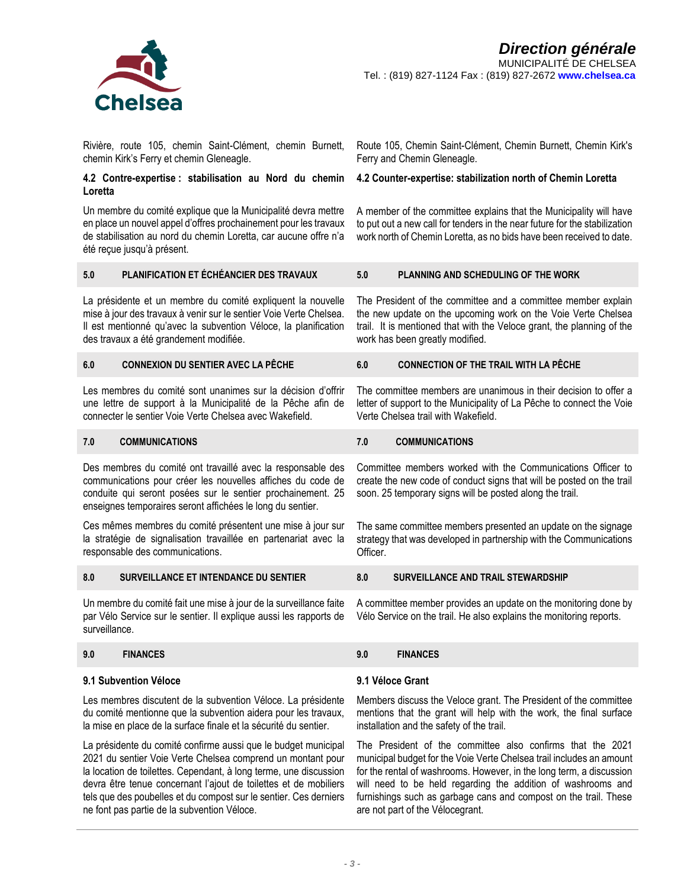

Rivière, route 105, chemin Saint-Clément, chemin Burnett, chemin Kirk's Ferry et chemin Gleneagle.

# **4.2 Contre-expertise : stabilisation au Nord du chemin Loretta**

Un membre du comité explique que la Municipalité devra mettre en place un nouvel appel d'offres prochainement pour les travaux de stabilisation au nord du chemin Loretta, car aucune offre n'a été reçue jusqu'à présent.

Route 105, Chemin Saint-Clément, Chemin Burnett, Chemin Kirk's Ferry and Chemin Gleneagle.

# **4.2 Counter-expertise: stabilization north of Chemin Loretta**

A member of the committee explains that the Municipality will have to put out a new call for tenders in the near future for the stabilization work north of Chemin Loretta, as no bids have been received to date.

# **5.0 PLANIFICATION ET ÉCHÉANCIER DES TRAVAUX 5.0 PLANNING AND SCHEDULING OF THE WORK**

La présidente et un membre du comité expliquent la nouvelle mise à jour des travaux à venir sur le sentier Voie Verte Chelsea. Il est mentionné qu'avec la subvention Véloce, la planification des travaux a été grandement modifiée.

### **6.0 CONNEXION DU SENTIER AVEC LA PÊCHE 6.0 CONNECTION OF THE TRAIL WITH LA PÊCHE**

Les membres du comité sont unanimes sur la décision d'offrir une lettre de support à la Municipalité de la Pêche afin de connecter le sentier Voie Verte Chelsea avec Wakefield.

## **7.0 COMMUNICATIONS 7.0 COMMUNICATIONS**

Des membres du comité ont travaillé avec la responsable des communications pour créer les nouvelles affiches du code de conduite qui seront posées sur le sentier prochainement. 25 enseignes temporaires seront affichées le long du sentier.

Ces mêmes membres du comité présentent une mise à jour sur la stratégie de signalisation travaillée en partenariat avec la responsable des communications.

### **8.0 SURVEILLANCE ET INTENDANCE DU SENTIER 8.0 SURVEILLANCE AND TRAIL STEWARDSHIP**

Un membre du comité fait une mise à jour de la surveillance faite par Vélo Service sur le sentier. Il explique aussi les rapports de surveillance.

# **9.0 FINANCES 9.0 FINANCES**

## **9.1 Subvention Véloce**

Les membres discutent de la subvention Véloce. La présidente du comité mentionne que la subvention aidera pour les travaux, la mise en place de la surface finale et la sécurité du sentier.

La présidente du comité confirme aussi que le budget municipal 2021 du sentier Voie Verte Chelsea comprend un montant pour la location de toilettes. Cependant, à long terme, une discussion devra être tenue concernant l'ajout de toilettes et de mobiliers tels que des poubelles et du compost sur le sentier. Ces derniers ne font pas partie de la subvention Véloce.

The President of the committee and a committee member explain the new update on the upcoming work on the Voie Verte Chelsea trail. It is mentioned that with the Veloce grant, the planning of the work has been greatly modified.

The committee members are unanimous in their decision to offer a letter of support to the Municipality of La Pêche to connect the Voie Verte Chelsea trail with Wakefield.

Committee members worked with the Communications Officer to create the new code of conduct signs that will be posted on the trail soon. 25 temporary signs will be posted along the trail.

The same committee members presented an update on the signage strategy that was developed in partnership with the Communications Officer.

A committee member provides an update on the monitoring done by Vélo Service on the trail. He also explains the monitoring reports.

### **9.1 Véloce Grant**

Members discuss the Veloce grant. The President of the committee mentions that the grant will help with the work, the final surface installation and the safety of the trail.

The President of the committee also confirms that the 2021 municipal budget for the Voie Verte Chelsea trail includes an amount for the rental of washrooms. However, in the long term, a discussion will need to be held regarding the addition of washrooms and furnishings such as garbage cans and compost on the trail. These are not part of the Vélocegrant.